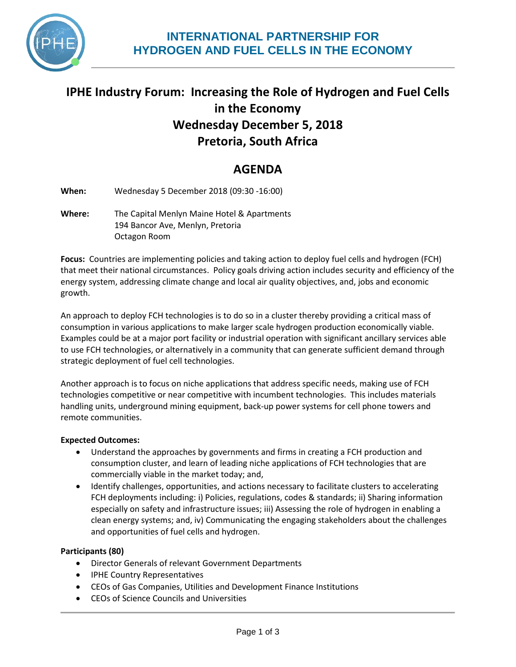

# **IPHE Industry Forum: Increasing the Role of Hydrogen and Fuel Cells in the Economy Wednesday December 5, 2018 Pretoria, South Africa**

# **AGENDA**

**When:** Wednesday 5 December 2018 (09:30 -16:00)

**Where:** The Capital Menlyn Maine Hotel & Apartments 194 Bancor Ave, Menlyn, Pretoria Octagon Room

**Focus:** Countries are implementing policies and taking action to deploy fuel cells and hydrogen (FCH) that meet their national circumstances. Policy goals driving action includes security and efficiency of the energy system, addressing climate change and local air quality objectives, and, jobs and economic growth.

An approach to deploy FCH technologies is to do so in a cluster thereby providing a critical mass of consumption in various applications to make larger scale hydrogen production economically viable. Examples could be at a major port facility or industrial operation with significant ancillary services able to use FCH technologies, or alternatively in a community that can generate sufficient demand through strategic deployment of fuel cell technologies.

Another approach is to focus on niche applications that address specific needs, making use of FCH technologies competitive or near competitive with incumbent technologies. This includes materials handling units, underground mining equipment, back-up power systems for cell phone towers and remote communities.

# **Expected Outcomes:**

- Understand the approaches by governments and firms in creating a FCH production and consumption cluster, and learn of leading niche applications of FCH technologies that are commercially viable in the market today; and,
- Identify challenges, opportunities, and actions necessary to facilitate clusters to accelerating FCH deployments including: i) Policies, regulations, codes & standards; ii) Sharing information especially on safety and infrastructure issues; iii) Assessing the role of hydrogen in enabling a clean energy systems; and, iv) Communicating the engaging stakeholders about the challenges and opportunities of fuel cells and hydrogen.

# **Participants (80)**

- Director Generals of relevant Government Departments
- IPHE Country Representatives
- CEOs of Gas Companies, Utilities and Development Finance Institutions
- CEOs of Science Councils and Universities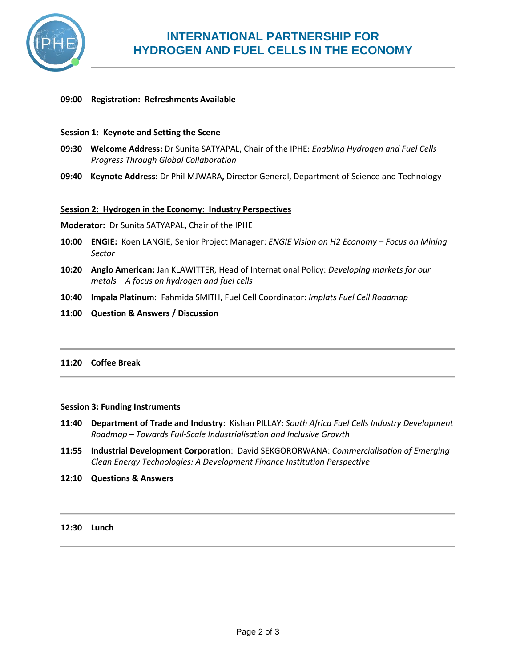

### **09:00 Registration: Refreshments Available**

#### **Session 1: Keynote and Setting the Scene**

- **09:30 Welcome Address:** Dr Sunita SATYAPAL, Chair of the IPHE: *Enabling Hydrogen and Fuel Cells Progress Through Global Collaboration*
- **09:40 Keynote Address:** Dr Phil MJWARA**,** Director General, Department of Science and Technology

#### **Session 2: Hydrogen in the Economy: Industry Perspectives**

**Moderator:** Dr Sunita SATYAPAL, Chair of the IPHE

- **10:00 ENGIE:** Koen LANGIE, Senior Project Manager: *ENGIE Vision on H2 Economy – Focus on Mining Sector*
- **10:20 Anglo American:** Jan KLAWITTER, Head of International Policy: *Developing markets for our metals – A focus on hydrogen and fuel cells*
- **10:40 Impala Platinum**: Fahmida SMITH, Fuel Cell Coordinator: *Implats Fuel Cell Roadmap*
- **11:00 Question & Answers / Discussion**

#### **11:20 Coffee Break**

#### **Session 3: Funding Instruments**

- **11:40 Department of Trade and Industry**: Kishan PILLAY: *South Africa Fuel Cells Industry Development Roadmap – Towards Full-Scale Industrialisation and Inclusive Growth*
- **11:55 Industrial Development Corporation**:David SEKGORORWANA: *Commercialisation of Emerging Clean Energy Technologies: A Development Finance Institution Perspective*
- **12:10 Questions & Answers**

**12:30 Lunch**